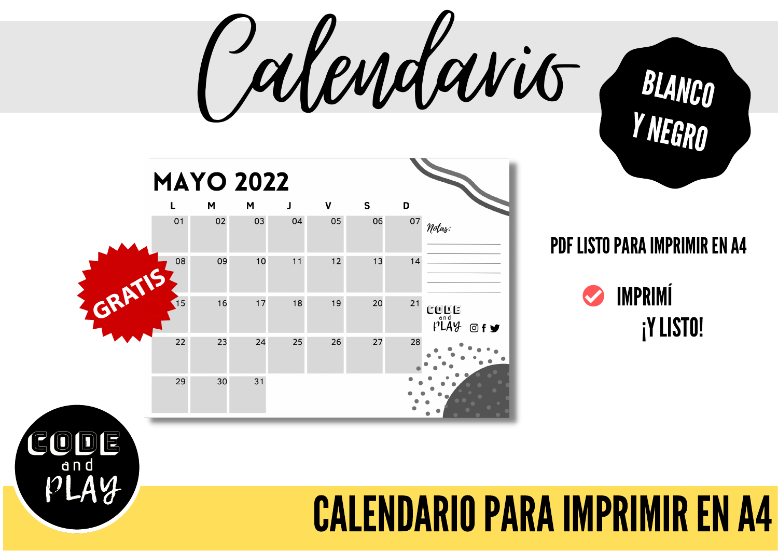Calendario



CODE

**a n d**

PLAY

#### PDF LISTO PARA IMPRIMIR EN A4

BLANCO

YNEGRO



#### **CALENDARIO PARA IMPRIMIR EN A4**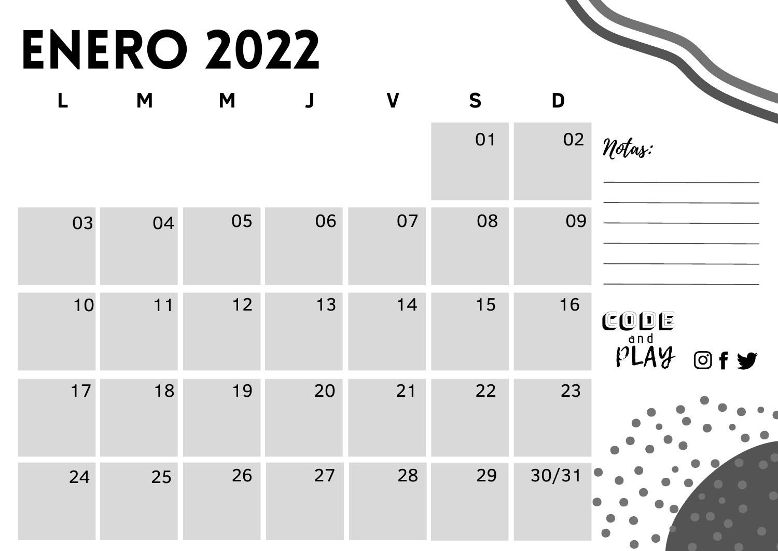# ENERO 2022

|      |      | <b>ENERO 2022</b> |             |                  |    |       |                                                                                     |
|------|------|-------------------|-------------|------------------|----|-------|-------------------------------------------------------------------------------------|
| L    | M    | M                 | $\mathsf J$ | $\boldsymbol{V}$ | S  | D     |                                                                                     |
|      |      |                   |             |                  | 01 | 02    | Notas:                                                                              |
| 03   | 04   | 05                | 06          | 07               | 08 | 09    |                                                                                     |
| 10   | $11$ | 12                | 13          | 14               | 15 | 16    | CODE<br>$p\overset{\text{and}}{\cancel{P}}\overset{\text{and}}{\cancel{P}}$<br>Of y |
| $17$ | 18   | 19                | 20          | 21               | 22 | 23    | $\bullet$                                                                           |
| 24   | 25   | 26                | 27          | 28               | 29 | 30/31 |                                                                                     |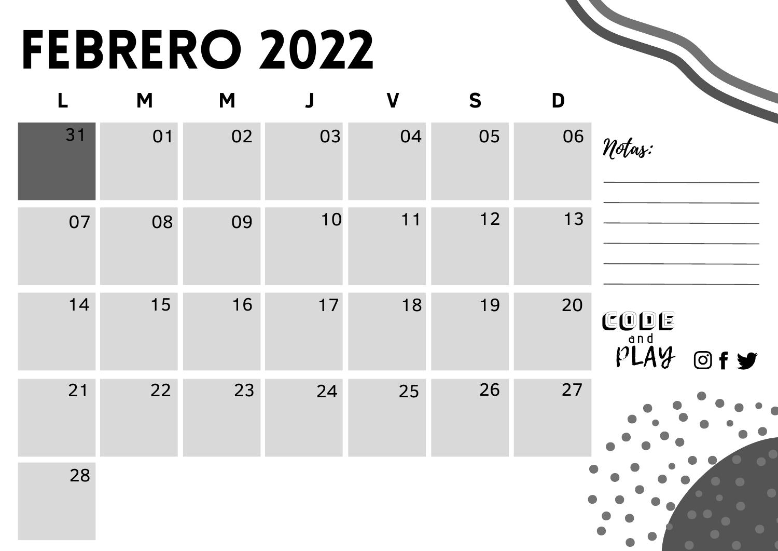# FEBRERO 2022

| L  | M  | M  | $\overline{\mathsf{J}}$ | $\overline{\mathsf{V}}$ | S  | D  |                      |
|----|----|----|-------------------------|-------------------------|----|----|----------------------|
| 31 | 01 | 02 | 03                      | 04                      | 05 | 06 | Notas:               |
| 07 | 08 | 09 | 10                      | 11                      | 12 | 13 |                      |
| 14 | 15 | 16 | $17$                    | 18                      | 19 | 20 | CODE<br>PLAY<br>Of y |
| 21 | 22 | 23 | 24                      | 25                      | 26 | 27 |                      |
| 28 |    |    |                         |                         |    |    |                      |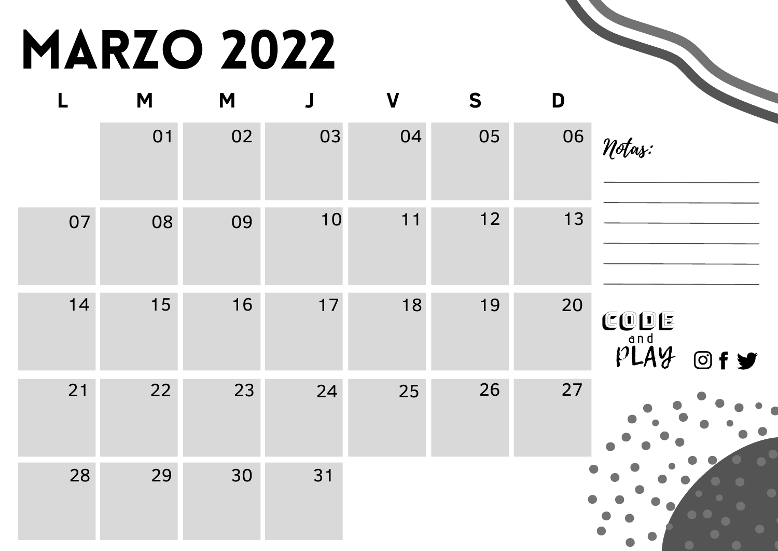# MARZO 2022

|                          |    | <b>MARZO 2022</b> |             |             |    |    |                                        |
|--------------------------|----|-------------------|-------------|-------------|----|----|----------------------------------------|
| $\overline{\phantom{a}}$ | M  | M                 | $\mathsf J$ | $\mathbf V$ | S  | D  |                                        |
|                          | 01 | 02                | 03          | 04          | 05 | 06 | Notas:                                 |
| 07                       | 08 | 09                | 10          | 11          | 12 | 13 |                                        |
| 14                       | 15 | 16                | 17          | 18          | 19 | 20 | CODE<br>$p$ <sup>and</sup> $q$<br>Of y |
| 21                       | 22 | 23                | 24          | 25          | 26 | 27 |                                        |
| 28                       | 29 | 30                | 31          |             |    |    |                                        |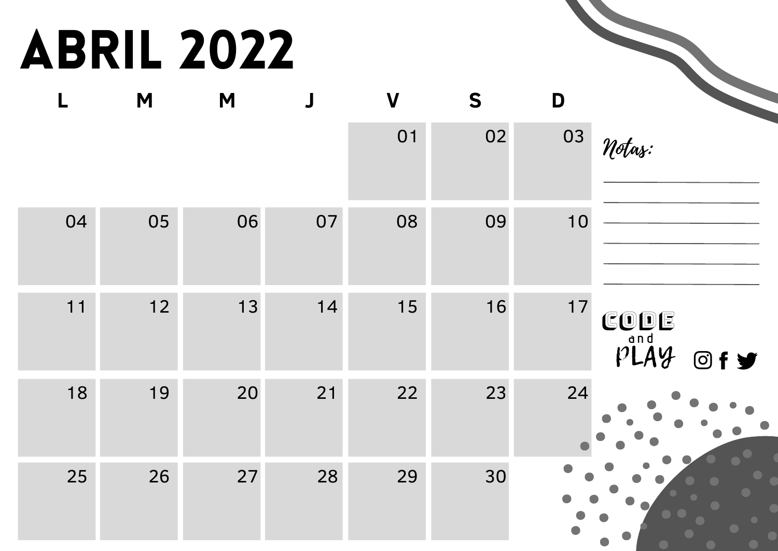# Abril 2022

| L  | M    | M  | $\overline{\mathsf{J}}$ | $\overline{\mathsf{V}}$ | S  | D    |                      |
|----|------|----|-------------------------|-------------------------|----|------|----------------------|
|    |      |    |                         | 01                      | 02 | 03   | Notas:               |
| 04 | 05   | 06 | 07                      | 08                      | 09 | 10   |                      |
| 11 | $12$ | 13 | 14                      | 15                      | 16 | $17$ | CODE<br>PLAY<br>Of y |
| 18 | 19   | 20 | 21                      | 22                      | 23 | 24   |                      |
| 25 | 26   | 27 | 28                      | 29                      | 30 |      |                      |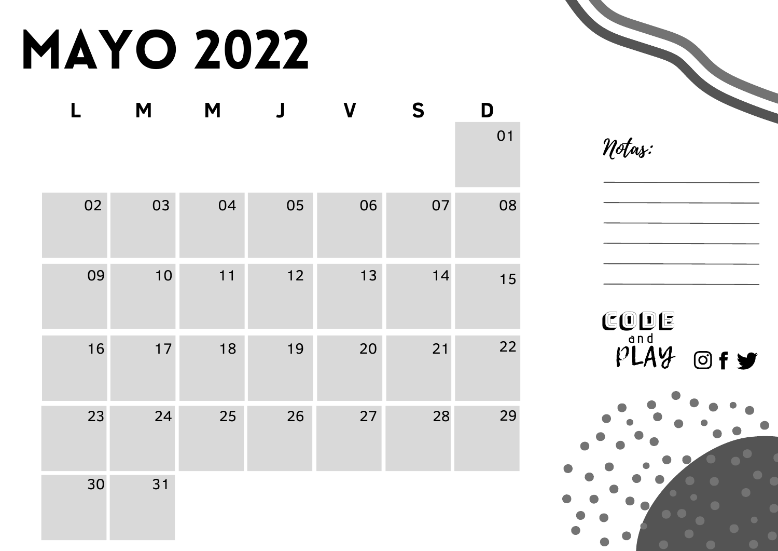# MAYO 2022

| $\blacksquare$ | M    | M  | $\overline{\mathbf{J}}$ | $\overline{\mathsf{V}}$ | S  | D  |
|----------------|------|----|-------------------------|-------------------------|----|----|
|                |      |    |                         |                         |    | 01 |
| 02             | 03   | 04 | 05                      | 06                      | 07 | 08 |
| 09             | 10   | 11 | $12$                    | 13                      | 14 | 15 |
| 16             | $17$ | 18 | 19                      | 20                      | 21 | 22 |
| 23             | 24   | 25 | 26                      | 27                      | 28 | 29 |
| 30             | 31   |    |                         |                         |    |    |

Notas:

CODE

PLAY O

**a n d**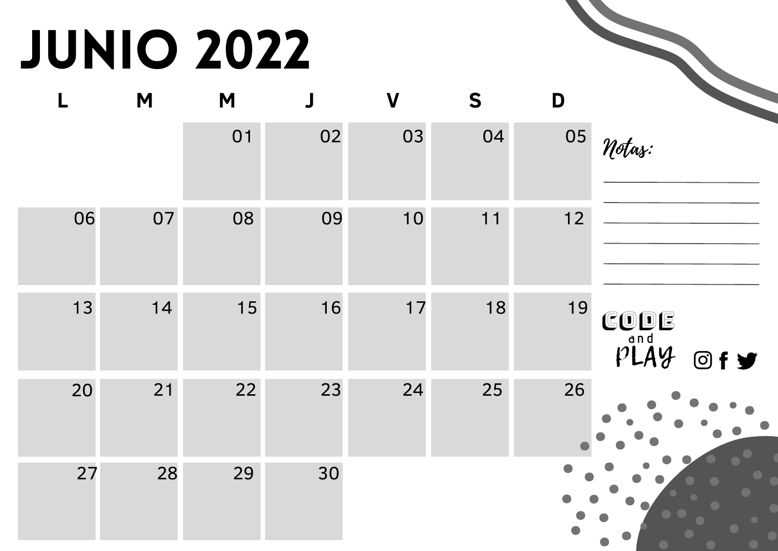# JUNIO 2022

|      |    | <b>JUNIO 2022</b> |                       |                  |    |      |                      |
|------|----|-------------------|-----------------------|------------------|----|------|----------------------|
| L    | M  | M                 | $\mathbf{\mathsf{J}}$ | $\boldsymbol{V}$ | S  | D    |                      |
|      |    | 01                | 02                    | 03               | 04 | 05   | Notas:               |
| 06   | 07 | 08                | 09                    | 10               | 11 | $12$ |                      |
| $13$ | 14 | 15                | 16                    | $17$             | 18 | 19   | CODE<br>PLAY<br>O(f) |
| 20   | 21 | 22                | 23                    | 24               | 25 | 26   |                      |
| 27   | 28 | 29                | 30                    |                  |    |      |                      |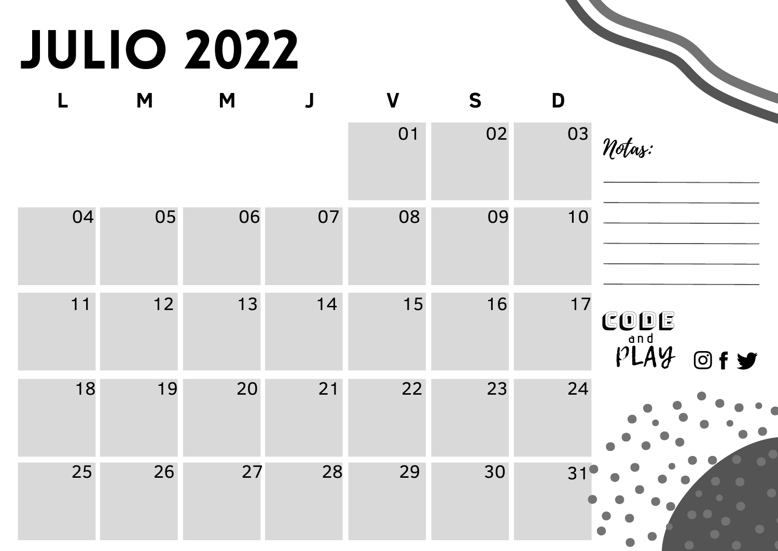# JUlIO 2022

| <b>JULIO 2022</b> |      |    |                                |             |    |    |                                        |
|-------------------|------|----|--------------------------------|-------------|----|----|----------------------------------------|
| L                 | M    | M  | $\begin{array}{c} \end{array}$ | $\mathbf V$ | S  | D  |                                        |
|                   |      |    |                                | 01          | 02 | 03 | Notas:                                 |
| 04                | 05   | 06 | 07                             | 08          | 09 | 10 |                                        |
| 11                | $12$ | 13 | 14                             | 15          | 16 | 17 | CODE<br>$p$ <sup>and</sup> $q$<br>Of y |
| 18                | 19   | 20 | 21                             | 22          | 23 | 24 |                                        |
| 25                | 26   | 27 | 28                             | 29          | 30 | 31 |                                        |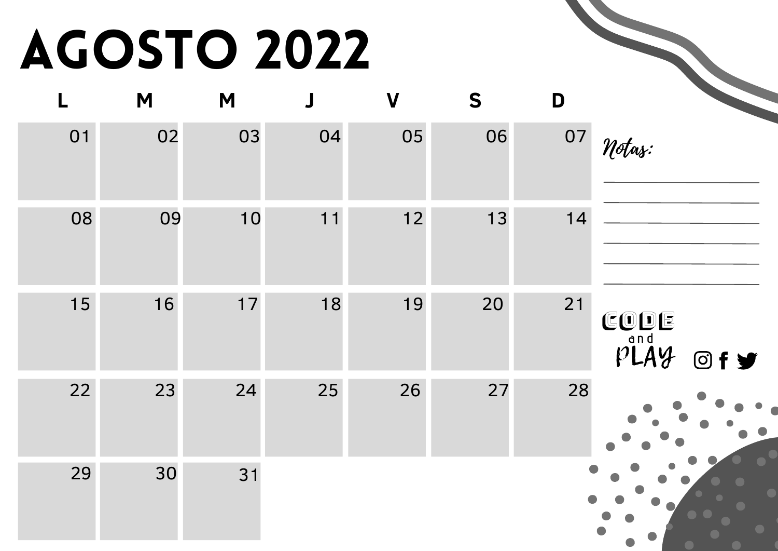# AGOSTO 2022

|    | <b>AGOSTO 2022</b> |    |    |                  |    |    |                                        |
|----|--------------------|----|----|------------------|----|----|----------------------------------------|
| L  | M                  | M  |    | $\boldsymbol{V}$ | S  | D  |                                        |
| 01 | 02                 | 03 | 04 | 05               | 06 | 07 | Notas:                                 |
| 08 | 09                 | 10 | 11 | $12$             | 13 | 14 |                                        |
| 15 | 16                 | 17 | 18 | 19               | 20 | 21 | CODE<br>$p$ <sup>and</sup> $q$<br>Of y |
| 22 | 23                 | 24 | 25 | 26               | 27 | 28 |                                        |
| 29 | 30                 | 31 |    |                  |    |    |                                        |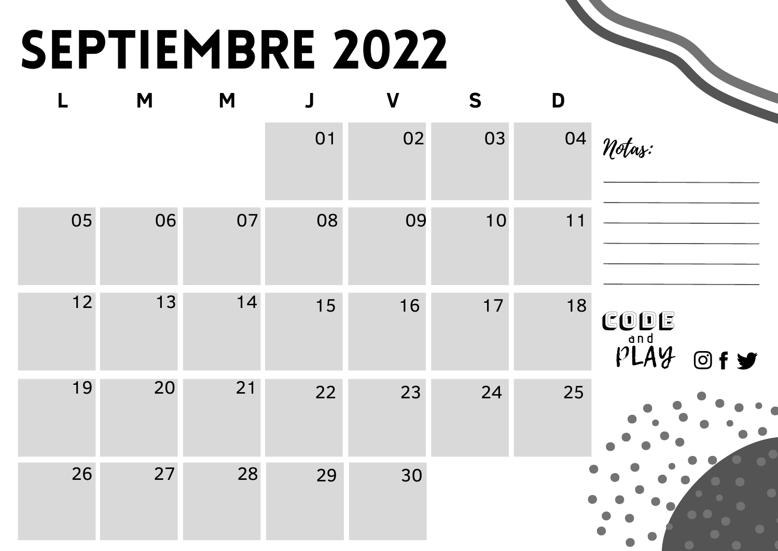# SEPTIEMBRE 2022

|      |    |    |    | <b>SEPTIEMBRE 2022</b> |    |    |                                                            |
|------|----|----|----|------------------------|----|----|------------------------------------------------------------|
| L    | M  | M  |    | $\boldsymbol{V}$       | S  | D  |                                                            |
|      |    |    | 01 | 02                     | 03 | 04 | Notas:                                                     |
| 05   | 06 | 07 | 08 | 09                     | 10 | 11 |                                                            |
| $12$ | 13 | 14 | 15 | 16                     | 17 | 18 | CODE<br>$\overline{p}$ <sup>and</sup> $\overline{q}$<br>@f |
| 19   | 20 | 21 | 22 | 23                     | 24 | 25 |                                                            |
| 26   | 27 | 28 | 29 | 30                     |    |    |                                                            |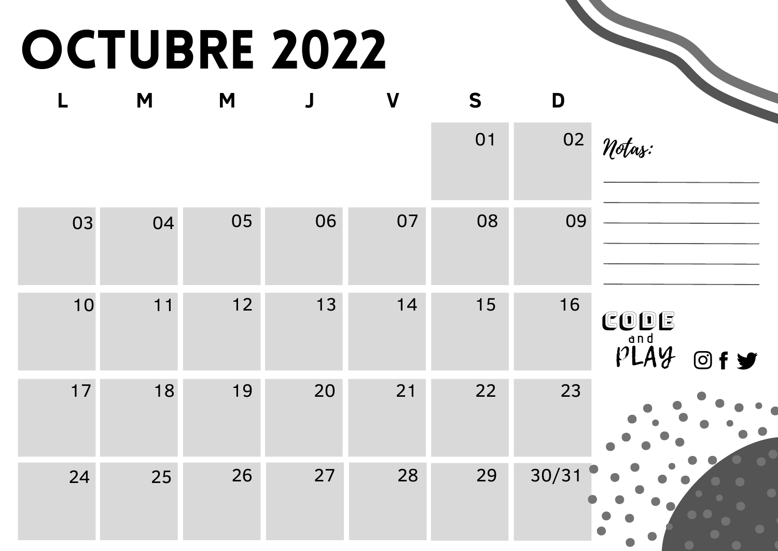### OCTUBRE 2022

|      |    | OCTUBRE 2022 |        |                  |    |       |                                                                                   |
|------|----|--------------|--------|------------------|----|-------|-----------------------------------------------------------------------------------|
| L    | M  | M            | $\int$ | $\boldsymbol{V}$ | S  | D     |                                                                                   |
|      |    |              |        |                  | 01 | 02    | Notas:                                                                            |
| 03   | 04 | 05           | 06     | 07               | 08 | 09    |                                                                                   |
| 10   | 11 | 12           | 13     | 14               | 15 | 16    | CODE<br>$p\overset{\text{and}}{\cancel{P}}\overset{\text{and}}{\cancel{P}}$<br>@f |
| $17$ | 18 | 19           | 20     | 21               | 22 | 23    |                                                                                   |
| 24   | 25 | 26           | 27     | 28               | 29 | 30/31 |                                                                                   |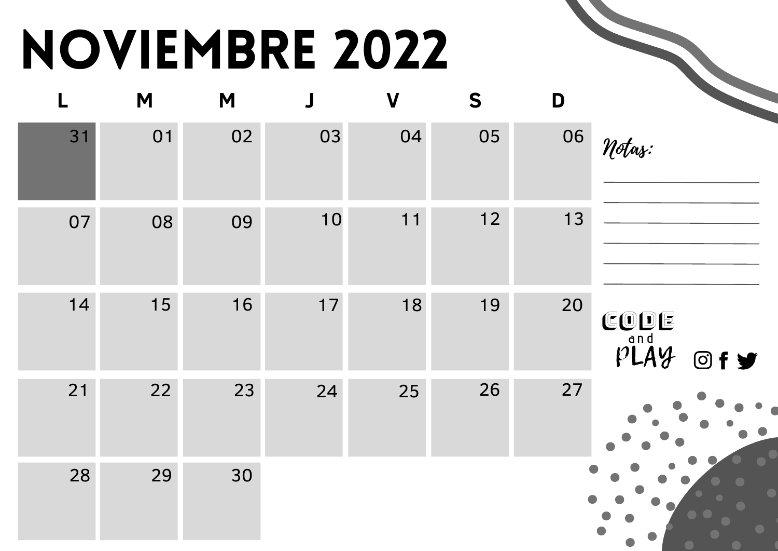# NOVIEMBRE 2022

| L  | M  | M  | $\overline{\mathsf{J}}$ | $\mathbf V$ | S  | D  |                                                       |
|----|----|----|-------------------------|-------------|----|----|-------------------------------------------------------|
| 31 | 01 | 02 | 03                      | 04          | 05 | 06 | Notas:                                                |
| 07 | 08 | 09 | 10                      | 11          | 12 | 13 |                                                       |
| 14 | 15 | 16 | $17$                    | 18          | 19 | 20 | CODE<br>$p\overset{\text{and}}{\cancel{11}}q$<br>Of y |
| 21 | 22 | 23 | 24                      | 25          | 26 | 27 |                                                       |
| 28 | 29 | 30 |                         |             |    |    |                                                       |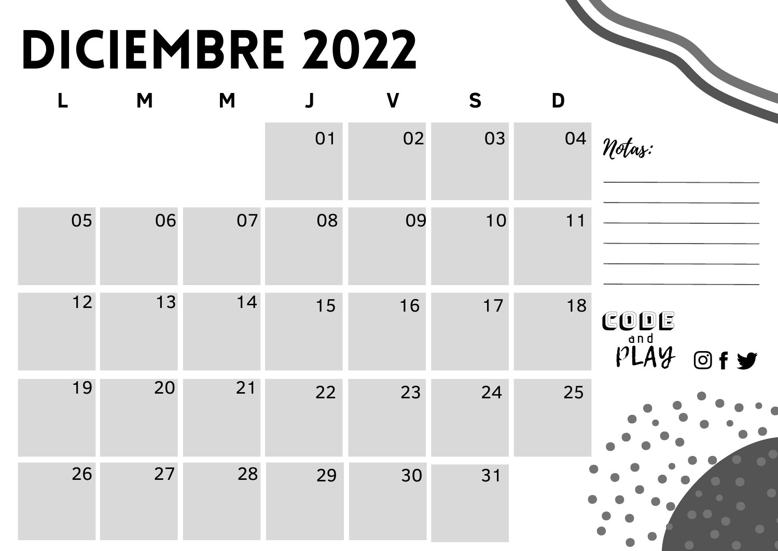### DICIEMBRE 2022

| L    | M  | M  | $\mathbf{J}$ | $\overline{\mathsf{V}}$ | S    | D  |                      |
|------|----|----|--------------|-------------------------|------|----|----------------------|
|      |    |    | 01           | 02                      | 03   | 04 | Notas:               |
| 05   | 06 | 07 | 08           | 09                      | 10   | 11 |                      |
| $12$ | 13 | 14 | 15           | 16                      | $17$ | 18 | CODE<br>PLAY<br>Of y |
| 19   | 20 | 21 | 22           | 23                      | 24   | 25 |                      |
| 26   | 27 | 28 | 29           | 30                      | 31   |    |                      |